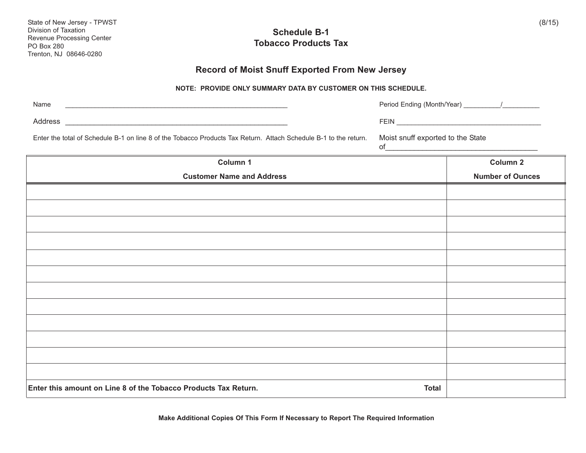| Revenue Processing Center<br><b>PO Box 280</b><br>Trenton, NJ 08646-0280                                         | <b>UVIIGUUIG D-I</b><br><b>Tobacco Products Tax</b>           |                                                                                                                                                           |                         |
|------------------------------------------------------------------------------------------------------------------|---------------------------------------------------------------|-----------------------------------------------------------------------------------------------------------------------------------------------------------|-------------------------|
|                                                                                                                  | Record of Moist Snuff Exported From New Jersey                |                                                                                                                                                           |                         |
|                                                                                                                  | NOTE: PROVIDE ONLY SUMMARY DATA BY CUSTOMER ON THIS SCHEDULE. |                                                                                                                                                           |                         |
| Name<br><u> 1988 - Johann John Stein, mars an deutscher Stein († 1958)</u>                                       |                                                               |                                                                                                                                                           |                         |
| Address                                                                                                          |                                                               |                                                                                                                                                           |                         |
| Enter the total of Schedule B-1 on line 8 of the Tobacco Products Tax Return. Attach Schedule B-1 to the return. |                                                               | Moist snuff exported to the State<br><u> 1989 - Johann Stein, mars an deutscher Stein und der Stein und der Stein und der Stein und der Stein und der</u> |                         |
| Column 1                                                                                                         |                                                               |                                                                                                                                                           | Column <sub>2</sub>     |
| <b>Customer Name and Address</b>                                                                                 |                                                               |                                                                                                                                                           | <b>Number of Ounces</b> |
|                                                                                                                  |                                                               |                                                                                                                                                           |                         |
|                                                                                                                  |                                                               |                                                                                                                                                           |                         |
|                                                                                                                  |                                                               |                                                                                                                                                           |                         |
|                                                                                                                  |                                                               |                                                                                                                                                           |                         |
|                                                                                                                  |                                                               |                                                                                                                                                           |                         |
|                                                                                                                  |                                                               |                                                                                                                                                           |                         |
|                                                                                                                  |                                                               |                                                                                                                                                           |                         |
|                                                                                                                  |                                                               |                                                                                                                                                           |                         |
|                                                                                                                  |                                                               |                                                                                                                                                           |                         |
|                                                                                                                  |                                                               |                                                                                                                                                           |                         |
|                                                                                                                  |                                                               |                                                                                                                                                           |                         |
|                                                                                                                  |                                                               |                                                                                                                                                           |                         |
| Enter this amount on Line 8 of the Tobacco Products Tax Return.                                                  |                                                               | <b>Total</b>                                                                                                                                              |                         |

**Schedule B-1**

(8/15)

State of New Jersey - TPWST

Division of Taxation

**Make Additional Copies Of This Form If Necessary to Report The Required Information**